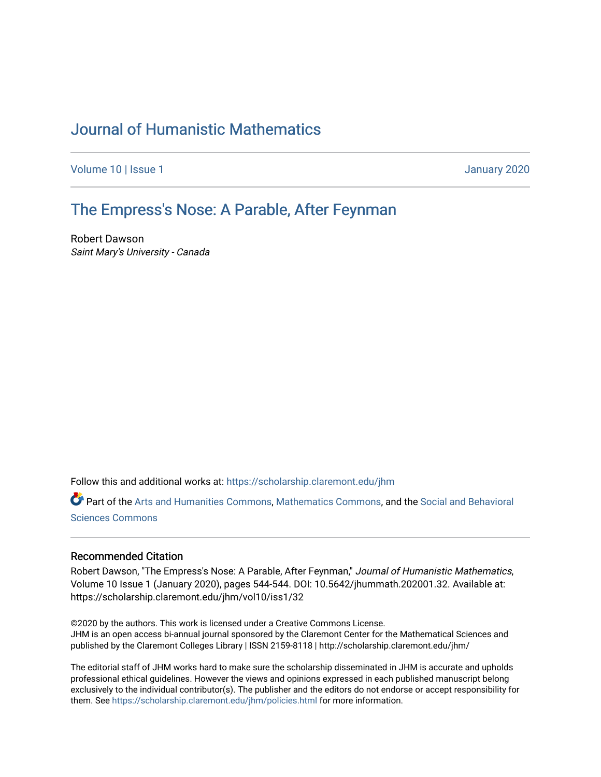## [Journal of Humanistic Mathematics](https://scholarship.claremont.edu/jhm)

[Volume 10](https://scholarship.claremont.edu/jhm/vol10) | Issue 1 January 2020

## The Empress's Nose: A Parable, After Feynman

Robert Dawson Saint Mary's University - Canada

Follow this and additional works at: [https://scholarship.claremont.edu/jhm](https://scholarship.claremont.edu/jhm?utm_source=scholarship.claremont.edu%2Fjhm%2Fvol10%2Fiss1%2F32&utm_medium=PDF&utm_campaign=PDFCoverPages)

Part of the [Arts and Humanities Commons,](http://network.bepress.com/hgg/discipline/438?utm_source=scholarship.claremont.edu%2Fjhm%2Fvol10%2Fiss1%2F32&utm_medium=PDF&utm_campaign=PDFCoverPages) [Mathematics Commons](http://network.bepress.com/hgg/discipline/174?utm_source=scholarship.claremont.edu%2Fjhm%2Fvol10%2Fiss1%2F32&utm_medium=PDF&utm_campaign=PDFCoverPages), and the [Social and Behavioral](http://network.bepress.com/hgg/discipline/316?utm_source=scholarship.claremont.edu%2Fjhm%2Fvol10%2Fiss1%2F32&utm_medium=PDF&utm_campaign=PDFCoverPages)  [Sciences Commons](http://network.bepress.com/hgg/discipline/316?utm_source=scholarship.claremont.edu%2Fjhm%2Fvol10%2Fiss1%2F32&utm_medium=PDF&utm_campaign=PDFCoverPages) 

## Recommended Citation

Robert Dawson, "The Empress's Nose: A Parable, After Feynman," Journal of Humanistic Mathematics, Volume 10 Issue 1 (January 2020), pages 544-544. DOI: 10.5642/jhummath.202001.32. Available at: https://scholarship.claremont.edu/jhm/vol10/iss1/32

©2020 by the authors. This work is licensed under a Creative Commons License. JHM is an open access bi-annual journal sponsored by the Claremont Center for the Mathematical Sciences and published by the Claremont Colleges Library | ISSN 2159-8118 | http://scholarship.claremont.edu/jhm/

The editorial staff of JHM works hard to make sure the scholarship disseminated in JHM is accurate and upholds professional ethical guidelines. However the views and opinions expressed in each published manuscript belong exclusively to the individual contributor(s). The publisher and the editors do not endorse or accept responsibility for them. See<https://scholarship.claremont.edu/jhm/policies.html> for more information.